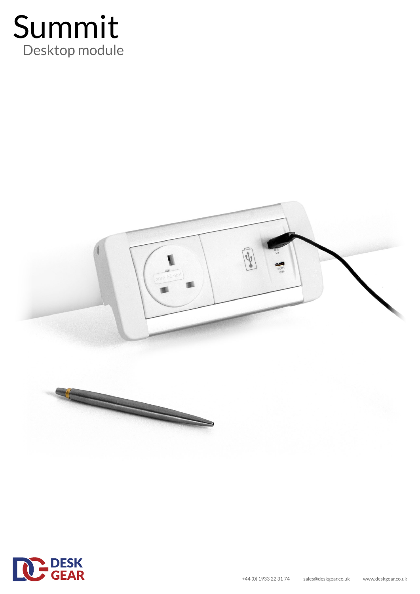



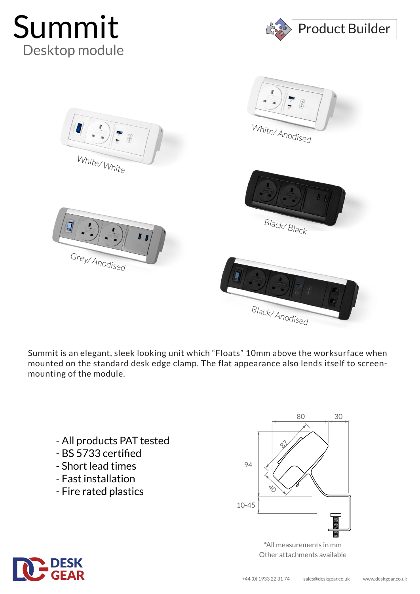





Summit is an elegant, sleek looking unit which "Floats" 10mm above the worksurface when mounted on the standard desk edge clamp. The flat appearance also lends itself to screenmounting of the module.

- All products PAT tested
- BS 5733 certified
- Short lead times
- Fast installation
- Fire rated plastics



\*All measurements in mm Other attachments available